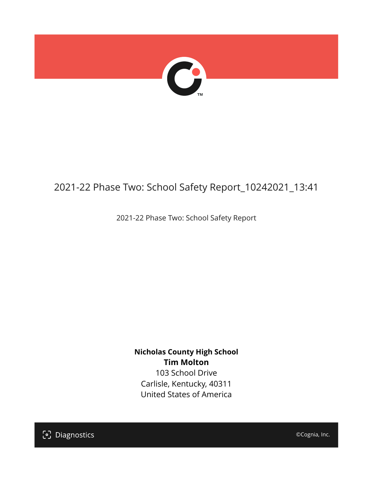

## 2021-22 Phase Two: School Safety Report\_10242021\_13:41

2021-22 Phase Two: School Safety Report

**Nicholas County High School Tim Molton** 103 School Drive

Carlisle, Kentucky, 40311 United States of America

[၁] Diagnostics

©Cognia, Inc.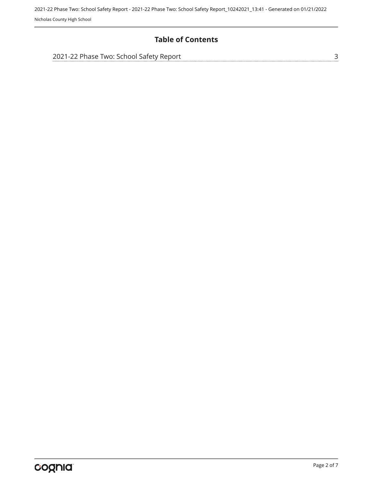2021-22 Phase Two: School Safety Report - 2021-22 Phase Two: School Safety Report\_10242021\_13:41 - Generated on 01/21/2022 Nicholas County High School

## **Table of Contents**

| 2021-22 Phase Two: School Safety Report |  |
|-----------------------------------------|--|
|                                         |  |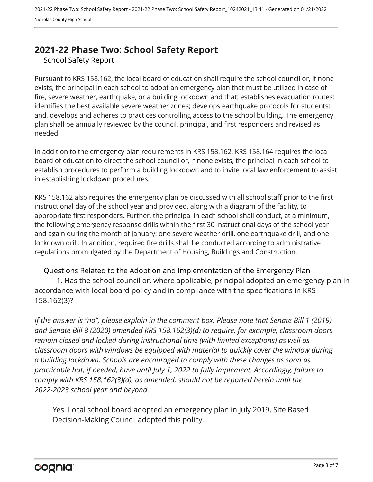## <span id="page-2-0"></span>**2021-22 Phase Two: School Safety Report**

School Safety Report

Pursuant to KRS 158.162, the local board of education shall require the school council or, if none exists, the principal in each school to adopt an emergency plan that must be utilized in case of fire, severe weather, earthquake, or a building lockdown and that: establishes evacuation routes; identifies the best available severe weather zones; develops earthquake protocols for students; and, develops and adheres to practices controlling access to the school building. The emergency plan shall be annually reviewed by the council, principal, and first responders and revised as needed.

In addition to the emergency plan requirements in KRS 158.162, KRS 158.164 requires the local board of education to direct the school council or, if none exists, the principal in each school to establish procedures to perform a building lockdown and to invite local law enforcement to assist in establishing lockdown procedures.

KRS 158.162 also requires the emergency plan be discussed with all school staff prior to the first instructional day of the school year and provided, along with a diagram of the facility, to appropriate first responders. Further, the principal in each school shall conduct, at a minimum, the following emergency response drills within the first 30 instructional days of the school year and again during the month of January: one severe weather drill, one earthquake drill, and one lockdown drill. In addition, required fire drills shall be conducted according to administrative regulations promulgated by the Department of Housing, Buildings and Construction.

Questions Related to the Adoption and Implementation of the Emergency Plan 1. Has the school council or, where applicable, principal adopted an emergency plan in accordance with local board policy and in compliance with the specifications in KRS 158.162(3)?

*If the answer is "no", please explain in the comment box. Please note that Senate Bill 1 (2019) and Senate Bill 8 (2020) amended KRS 158.162(3)(d) to require, for example, classroom doors remain closed and locked during instructional time (with limited exceptions) as well as classroom doors with windows be equipped with material to quickly cover the window during a building lockdown. Schools are encouraged to comply with these changes as soon as practicable but, if needed, have until July 1, 2022 to fully implement. Accordingly, failure to comply with KRS 158.162(3)(d), as amended, should not be reported herein until the 2022-2023 school year and beyond.*

Yes. Local school board adopted an emergency plan in July 2019. Site Based Decision-Making Council adopted this policy.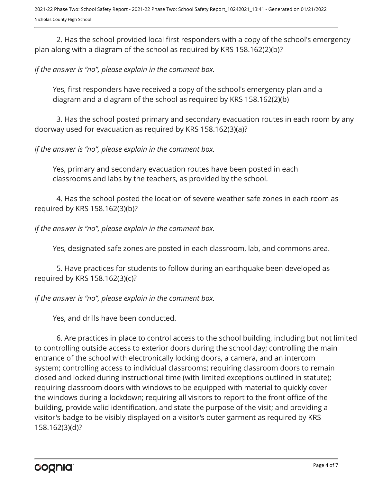2. Has the school provided local first responders with a copy of the school's emergency plan along with a diagram of the school as required by KRS 158.162(2)(b)?

*If the answer is "no", please explain in the comment box.*

Yes, first responders have received a copy of the school's emergency plan and a diagram and a diagram of the school as required by KRS 158.162(2)(b)

3. Has the school posted primary and secondary evacuation routes in each room by any doorway used for evacuation as required by KRS 158.162(3)(a)?

*If the answer is "no", please explain in the comment box.*

Yes, primary and secondary evacuation routes have been posted in each classrooms and labs by the teachers, as provided by the school.

4. Has the school posted the location of severe weather safe zones in each room as required by KRS 158.162(3)(b)?

*If the answer is "no", please explain in the comment box.*

Yes, designated safe zones are posted in each classroom, lab, and commons area.

5. Have practices for students to follow during an earthquake been developed as required by KRS 158.162(3)(c)?

*If the answer is "no", please explain in the comment box.*

Yes, and drills have been conducted.

6. Are practices in place to control access to the school building, including but not limited to controlling outside access to exterior doors during the school day; controlling the main entrance of the school with electronically locking doors, a camera, and an intercom system; controlling access to individual classrooms; requiring classroom doors to remain closed and locked during instructional time (with limited exceptions outlined in statute); requiring classroom doors with windows to be equipped with material to quickly cover the windows during a lockdown; requiring all visitors to report to the front office of the building, provide valid identification, and state the purpose of the visit; and providing a visitor's badge to be visibly displayed on a visitor's outer garment as required by KRS 158.162(3)(d)?

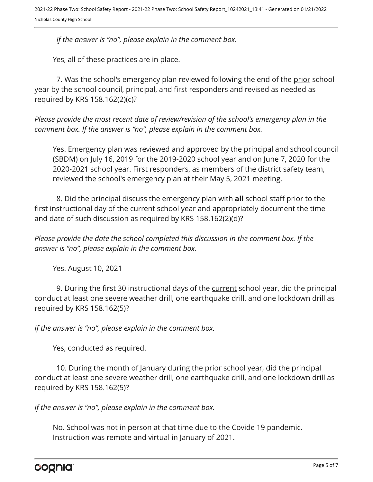*If the answer is "no", please explain in the comment box.*

Yes, all of these practices are in place.

7. Was the school's emergency plan reviewed following the end of the prior school year by the school council, principal, and first responders and revised as needed as required by KRS 158.162(2)(c)?

*Please provide the most recent date of review/revision of the school's emergency plan in the comment box. If the answer is "no", please explain in the comment box.* 

Yes. Emergency plan was reviewed and approved by the principal and school council (SBDM) on July 16, 2019 for the 2019-2020 school year and on June 7, 2020 for the 2020-2021 school year. First responders, as members of the district safety team, reviewed the school's emergency plan at their May 5, 2021 meeting.

8. Did the principal discuss the emergency plan with **all** school staff prior to the first instructional day of the current school year and appropriately document the time and date of such discussion as required by KRS 158.162(2)(d)?

*Please provide the date the school completed this discussion in the comment box. If the answer is "no", please explain in the comment box.*

Yes. August 10, 2021

9. During the first 30 instructional days of the current school year, did the principal conduct at least one severe weather drill, one earthquake drill, and one lockdown drill as required by KRS 158.162(5)?

*If the answer is "no", please explain in the comment box.*

Yes, conducted as required.

10. During the month of January during the prior school year, did the principal conduct at least one severe weather drill, one earthquake drill, and one lockdown drill as required by KRS 158.162(5)?

*If the answer is "no", please explain in the comment box.*

No. School was not in person at that time due to the Covide 19 pandemic. Instruction was remote and virtual in January of 2021.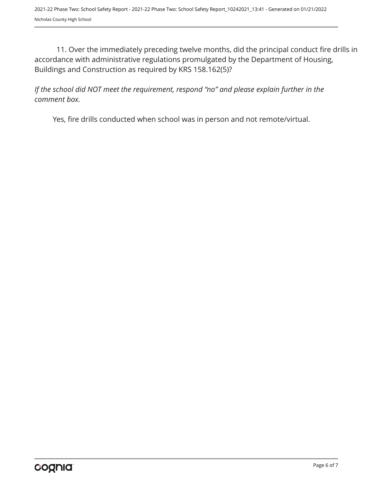11. Over the immediately preceding twelve months, did the principal conduct fire drills in accordance with administrative regulations promulgated by the Department of Housing, Buildings and Construction as required by KRS 158.162(5)?

*If the school did NOT meet the requirement, respond "no" and please explain further in the comment box.* 

Yes, fire drills conducted when school was in person and not remote/virtual.